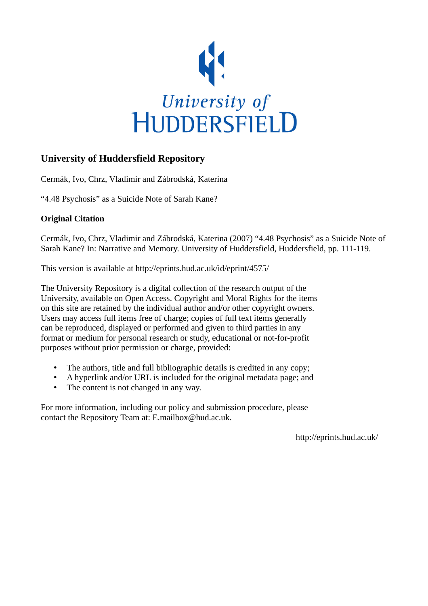

# **University of Huddersfield Repository**

Cermák, Ivo, Chrz, Vladimir and Zábrodská, Katerina

"4.48 Psychosis" as a Suicide Note of Sarah Kane?

## **Original Citation**

Cermák, Ivo, Chrz, Vladimir and Zábrodská, Katerina (2007) "4.48 Psychosis" as a Suicide Note of Sarah Kane? In: Narrative and Memory. University of Huddersfield, Huddersfield, pp. 111-119.

This version is available at http://eprints.hud.ac.uk/id/eprint/4575/

The University Repository is a digital collection of the research output of the University, available on Open Access. Copyright and Moral Rights for the items on this site are retained by the individual author and/or other copyright owners. Users may access full items free of charge; copies of full text items generally can be reproduced, displayed or performed and given to third parties in any format or medium for personal research or study, educational or not-for-profit purposes without prior permission or charge, provided:

- The authors, title and full bibliographic details is credited in any copy;
- A hyperlink and/or URL is included for the original metadata page; and
- The content is not changed in any way.

For more information, including our policy and submission procedure, please contact the Repository Team at: E.mailbox@hud.ac.uk.

http://eprints.hud.ac.uk/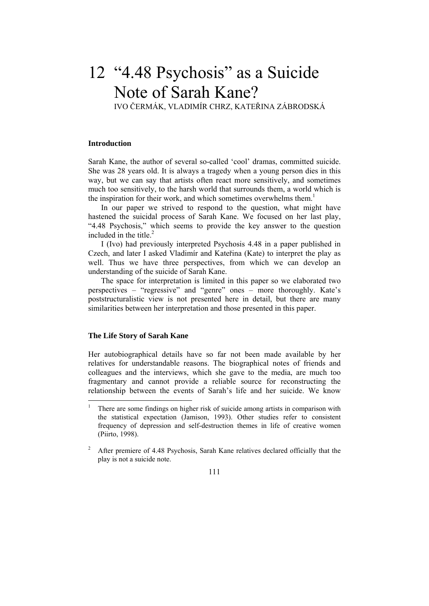# 12 "4.48 Psychosis" as a Suicide Note of Sarah Kane? IVO ČERMÁK, VLADIMÍR CHRZ, KATEŘINA ZÁBRODSKÁ

## **Introduction**

Sarah Kane, the author of several so-called 'cool' dramas, committed suicide. She was 28 years old. It is always a tragedy when a young person dies in this way, but we can say that artists often react more sensitively, and sometimes much too sensitively, to the harsh world that surrounds them, a world which is the inspiration for their work, and which sometimes overwhelms them.<sup>1</sup>

 In our paper we strived to respond to the question, what might have hastened the suicidal process of Sarah Kane. We focused on her last play, "4.48 Psychosis," which seems to provide the key answer to the question included in the title. $2$ 

 I (Ivo) had previously interpreted Psychosis 4.48 in a paper published in Czech, and later I asked Vladimír and Kateřina (Kate) to interpret the play as well. Thus we have three perspectives, from which we can develop an understanding of the suicide of Sarah Kane.

 The space for interpretation is limited in this paper so we elaborated two perspectives – "regressive" and "genre" ones – more thoroughly. Kate's poststructuralistic view is not presented here in detail, but there are many similarities between her interpretation and those presented in this paper.

## **The Life Story of Sarah Kane**

l

Her autobiographical details have so far not been made available by her relatives for understandable reasons. The biographical notes of friends and colleagues and the interviews, which she gave to the media, are much too fragmentary and cannot provide a reliable source for reconstructing the relationship between the events of Sarah's life and her suicide. We know

<sup>2</sup> After premiere of 4.48 Psychosis, Sarah Kane relatives declared officially that the play is not a suicide note.



<sup>1</sup> There are some findings on higher risk of suicide among artists in comparison with the statistical expectation (Jamison, 1993). Other studies refer to consistent frequency of depression and self-destruction themes in life of creative women (Piirto, 1998).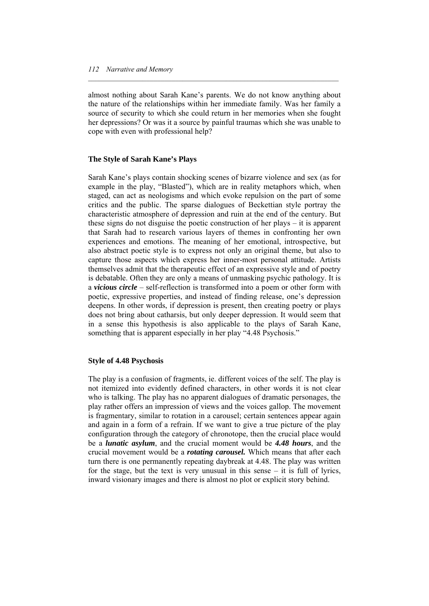almost nothing about Sarah Kane's parents. We do not know anything about the nature of the relationships within her immediate family. Was her family a source of security to which she could return in her memories when she fought her depressions? Or was it a source by painful traumas which she was unable to cope with even with professional help?

 $\mathcal{L} = \{ \mathcal{L} \mathcal{L} \mathcal{L} \mathcal{L} \mathcal{L} \mathcal{L} \mathcal{L} \mathcal{L} \mathcal{L} \mathcal{L} \mathcal{L} \mathcal{L} \mathcal{L} \mathcal{L} \mathcal{L} \mathcal{L} \mathcal{L} \mathcal{L} \mathcal{L} \mathcal{L} \mathcal{L} \mathcal{L} \mathcal{L} \mathcal{L} \mathcal{L} \mathcal{L} \mathcal{L} \mathcal{L} \mathcal{L} \mathcal{L} \mathcal{L} \mathcal{L} \mathcal{L} \mathcal{L} \mathcal{L} \$ 

#### **The Style of Sarah Kane's Plays**

Sarah Kane's plays contain shocking scenes of bizarre violence and sex (as for example in the play, "Blasted"), which are in reality metaphors which, when staged, can act as neologisms and which evoke repulsion on the part of some critics and the public. The sparse dialogues of Beckettian style portray the characteristic atmosphere of depression and ruin at the end of the century. But these signs do not disguise the poetic construction of her plays – it is apparent that Sarah had to research various layers of themes in confronting her own experiences and emotions. The meaning of her emotional, introspective, but also abstract poetic style is to express not only an original theme, but also to capture those aspects which express her inner-most personal attitude. Artists themselves admit that the therapeutic effect of an expressive style and of poetry is debatable. Often they are only a means of unmasking psychic pathology. It is a *vicious circle* – self-reflection is transformed into a poem or other form with poetic, expressive properties, and instead of finding release, one's depression deepens. In other words, if depression is present, then creating poetry or plays does not bring about catharsis, but only deeper depression. It would seem that in a sense this hypothesis is also applicable to the plays of Sarah Kane, something that is apparent especially in her play "4.48 Psychosis."

## **Style of 4.48 Psychosis**

The play is a confusion of fragments, ie. different voices of the self. The play is not itemized into evidently defined characters, in other words it is not clear who is talking. The play has no apparent dialogues of dramatic personages, the play rather offers an impression of views and the voices gallop. The movement is fragmentary, similar to rotation in a carousel; certain sentences appear again and again in a form of a refrain. If we want to give a true picture of the play configuration through the category of chronotope, then the crucial place would be a *lunatic asylum*, and the crucial moment would be *4.48 hours*, and the crucial movement would be a *rotating carousel.* Which means that after each turn there is one permanently repeating daybreak at 4.48. The play was written for the stage, but the text is very unusual in this sense – it is full of lyrics, inward visionary images and there is almost no plot or explicit story behind.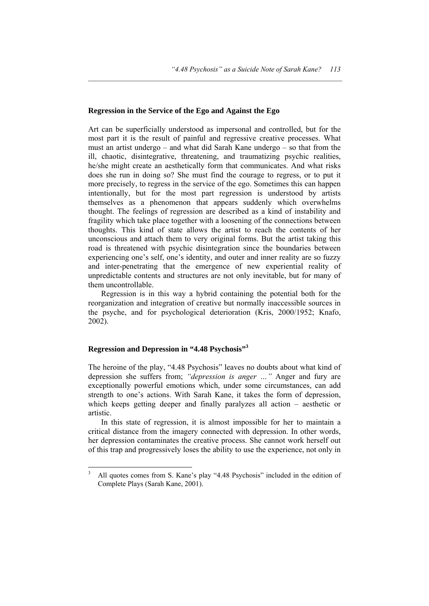## **Regression in the Service of the Ego and Against the Ego**

Art can be superficially understood as impersonal and controlled, but for the most part it is the result of painful and regressive creative processes. What must an artist undergo – and what did Sarah Kane undergo – so that from the ill, chaotic, disintegrative, threatening, and traumatizing psychic realities, he/she might create an aesthetically form that communicates. And what risks does she run in doing so? She must find the courage to regress, or to put it more precisely, to regress in the service of the ego. Sometimes this can happen intentionally, but for the most part regression is understood by artists themselves as a phenomenon that appears suddenly which overwhelms thought. The feelings of regression are described as a kind of instability and fragility which take place together with a loosening of the connections between thoughts. This kind of state allows the artist to reach the contents of her unconscious and attach them to very original forms. But the artist taking this road is threatened with psychic disintegration since the boundaries between experiencing one's self, one's identity, and outer and inner reality are so fuzzy and inter-penetrating that the emergence of new experiential reality of unpredictable contents and structures are not only inevitable, but for many of them uncontrollable.

 $\mathcal{L} = \{ \mathcal{L} \mathcal{L} \mathcal{L} \mathcal{L} \mathcal{L} \mathcal{L} \mathcal{L} \mathcal{L} \mathcal{L} \mathcal{L} \mathcal{L} \mathcal{L} \mathcal{L} \mathcal{L} \mathcal{L} \mathcal{L} \mathcal{L} \mathcal{L} \mathcal{L} \mathcal{L} \mathcal{L} \mathcal{L} \mathcal{L} \mathcal{L} \mathcal{L} \mathcal{L} \mathcal{L} \mathcal{L} \mathcal{L} \mathcal{L} \mathcal{L} \mathcal{L} \mathcal{L} \mathcal{L} \mathcal{L} \$ 

 Regression is in this way a hybrid containing the potential both for the reorganization and integration of creative but normally inaccessible sources in the psyche, and for psychological deterioration (Kris, 2000/1952; Knafo, 2002).

## **Regression and Depression in "4.48 Psychosis"3**

l

The heroine of the play, "4.48 Psychosis" leaves no doubts about what kind of depression she suffers from; *"depression is anger …"* Anger and fury are exceptionally powerful emotions which, under some circumstances, can add strength to one's actions. With Sarah Kane, it takes the form of depression, which keeps getting deeper and finally paralyzes all action – aesthetic or artistic.

 In this state of regression, it is almost impossible for her to maintain a critical distance from the imagery connected with depression. In other words, her depression contaminates the creative process. She cannot work herself out of this trap and progressively loses the ability to use the experience, not only in

<sup>3</sup> All quotes comes from S. Kane's play "4.48 Psychosis" included in the edition of Complete Plays (Sarah Kane, 2001).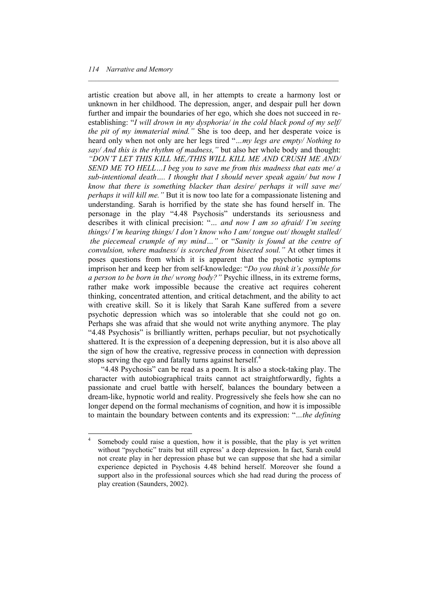## *Narrative and Memory 114*

artistic creation but above all, in her attempts to create a harmony lost or unknown in her childhood. The depression, anger, and despair pull her down further and impair the boundaries of her ego, which she does not succeed in reestablishing: "*I will drown in my dysphoria/ in the cold black pond of my self/ the pit of my immaterial mind."* She is too deep, and her desperate voice is heard only when not only are her legs tired "*…my legs are empty/ Nothing to say/ And this is the rhythm of madness,"* but also her whole body and thought: *"DON'T LET THIS KILL ME,/THIS WILL KILL ME AND CRUSH ME AND/ SEND ME TO HELL…I beg you to save me from this madness that eats me/ a sub-intentional death…. I thought that I should never speak again/ but now I know that there is something blacker than desire/ perhaps it will save me/ perhaps it will kill me."* But it is now too late for a compassionate listening and understanding. Sarah is horrified by the state she has found herself in. The personage in the play "4.48 Psychosis" understands its seriousness and describes it with clinical precision: "*… and now I am so afraid/ I'm seeing things/ I'm hearing things/ I don't know who I am/ tongue out/ thought stalled/ the piecemeal crumple of my mind…"* or "*Sanity is found at the centre of convulsion, where madness/ is scorched from bisected soul."* At other times it poses questions from which it is apparent that the psychotic symptoms imprison her and keep her from self-knowledge: "*Do you think it's possible for a person to be born in the/ wrong body?"* Psychic illness, in its extreme forms, rather make work impossible because the creative act requires coherent thinking, concentrated attention, and critical detachment, and the ability to act with creative skill. So it is likely that Sarah Kane suffered from a severe psychotic depression which was so intolerable that she could not go on. Perhaps she was afraid that she would not write anything anymore. The play "4.48 Psychosis" is brilliantly written, perhaps peculiar, but not psychotically shattered. It is the expression of a deepening depression, but it is also above all the sign of how the creative, regressive process in connection with depression stops serving the ego and fatally turns against herself.<sup>4</sup>

 $\mathcal{L} = \{ \mathcal{L} \mathcal{L} \mathcal{L} \mathcal{L} \mathcal{L} \mathcal{L} \mathcal{L} \mathcal{L} \mathcal{L} \mathcal{L} \mathcal{L} \mathcal{L} \mathcal{L} \mathcal{L} \mathcal{L} \mathcal{L} \mathcal{L} \mathcal{L} \mathcal{L} \mathcal{L} \mathcal{L} \mathcal{L} \mathcal{L} \mathcal{L} \mathcal{L} \mathcal{L} \mathcal{L} \mathcal{L} \mathcal{L} \mathcal{L} \mathcal{L} \mathcal{L} \mathcal{L} \mathcal{L} \mathcal{L} \$ 

 "4.48 Psychosis" can be read as a poem. It is also a stock-taking play. The character with autobiographical traits cannot act straightforwardly, fights a passionate and cruel battle with herself, balances the boundary between a dream-like, hypnotic world and reality. Progressively she feels how she can no longer depend on the formal mechanisms of cognition, and how it is impossible to maintain the boundary between contents and its expression: "*…the defining* 

 $\frac{1}{4}$  Somebody could raise a question, how it is possible, that the play is yet written without "psychotic" traits but still express' a deep depression. In fact, Sarah could not create play in her depression phase but we can suppose that she had a similar experience depicted in Psychosis 4.48 behind herself. Moreover she found a support also in the professional sources which she had read during the process of play creation (Saunders, 2002).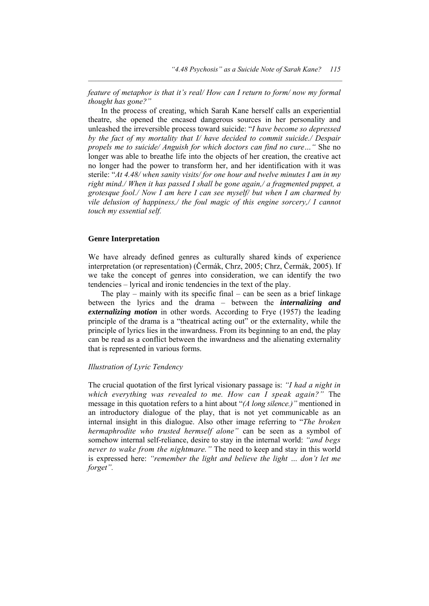*feature of metaphor is that it's real/ How can I return to form/ now my formal thought has gone?"* 

 $\mathcal{L} = \{ \mathcal{L} \mathcal{L} \mathcal{L} \mathcal{L} \mathcal{L} \mathcal{L} \mathcal{L} \mathcal{L} \mathcal{L} \mathcal{L} \mathcal{L} \mathcal{L} \mathcal{L} \mathcal{L} \mathcal{L} \mathcal{L} \mathcal{L} \mathcal{L} \mathcal{L} \mathcal{L} \mathcal{L} \mathcal{L} \mathcal{L} \mathcal{L} \mathcal{L} \mathcal{L} \mathcal{L} \mathcal{L} \mathcal{L} \mathcal{L} \mathcal{L} \mathcal{L} \mathcal{L} \mathcal{L} \mathcal{L} \$ 

 In the process of creating, which Sarah Kane herself calls an experiential theatre, she opened the encased dangerous sources in her personality and unleashed the irreversible process toward suicide: "*I have become so depressed by the fact of my mortality that I/ have decided to commit suicide./ Despair propels me to suicide/ Anguish for which doctors can find no cure…"* She no longer was able to breathe life into the objects of her creation, the creative act no longer had the power to transform her, and her identification with it was sterile: "*At 4.48/ when sanity visits/ for one hour and twelve minutes I am in my right mind./ When it has passed I shall be gone again,/ a fragmented puppet, a grotesque fool./ Now I am here I can see myself/ but when I am charmed by vile delusion of happiness,/ the foul magic of this engine sorcery,/ I cannot touch my essential self.* 

## **Genre Interpretation**

We have already defined genres as culturally shared kinds of experience interpretation (or representation) (Čermák, Chrz, 2005; Chrz, Čermák, 2005). If we take the concept of genres into consideration, we can identify the two tendencies – lyrical and ironic tendencies in the text of the play.

The play – mainly with its specific final – can be seen as a brief linkage between the lyrics and the drama – between the *internalizing and externalizing motion* in other words. According to Frye (1957) the leading principle of the drama is a "theatrical acting out" or the externality, while the principle of lyrics lies in the inwardness. From its beginning to an end, the play can be read as a conflict between the inwardness and the alienating externality that is represented in various forms.

## *Illustration of Lyric Tendency*

The crucial quotation of the first lyrical visionary passage is: *"I had a night in which everything was revealed to me. How can I speak again?"* The message in this quotation refers to a hint about "*(A long silence.)"* mentioned in an introductory dialogue of the play, that is not yet communicable as an internal insight in this dialogue. Also other image referring to "*The broken hermaphrodite who trusted hermself alone"* can be seen as a symbol of somehow internal self-reliance, desire to stay in the internal world: *"and begs never to wake from the nightmare."* The need to keep and stay in this world is expressed here: *"remember the light and believe the light … don't let me forget".*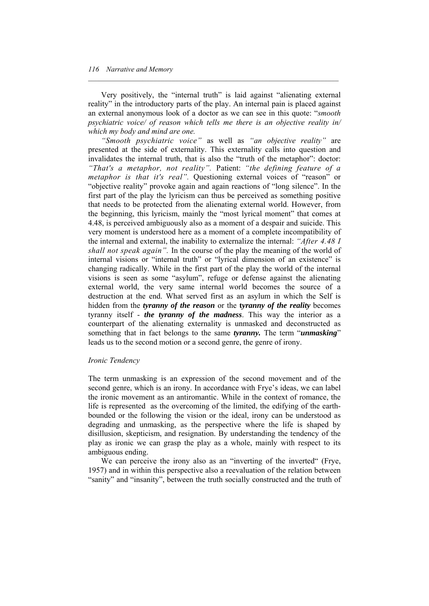Very positively, the "internal truth" is laid against "alienating external reality" in the introductory parts of the play. An internal pain is placed against an external anonymous look of a doctor as we can see in this quote: "*smooth psychiatric voice/ of reason which tells me there is an objective reality in/ which my body and mind are one.* 

 $\mathcal{L} = \{ \mathcal{L} \mathcal{L} \mathcal{L} \mathcal{L} \mathcal{L} \mathcal{L} \mathcal{L} \mathcal{L} \mathcal{L} \mathcal{L} \mathcal{L} \mathcal{L} \mathcal{L} \mathcal{L} \mathcal{L} \mathcal{L} \mathcal{L} \mathcal{L} \mathcal{L} \mathcal{L} \mathcal{L} \mathcal{L} \mathcal{L} \mathcal{L} \mathcal{L} \mathcal{L} \mathcal{L} \mathcal{L} \mathcal{L} \mathcal{L} \mathcal{L} \mathcal{L} \mathcal{L} \mathcal{L} \mathcal{L} \$ 

 *"Smooth psychiatric voice"* as well as *"an objective reality"* are presented at the side of externality. This externality calls into question and invalidates the internal truth, that is also the "truth of the metaphor": doctor: *"That's a metaphor, not reality".* Patient: *"the defining feature of a metaphor is that it's real".* Questioning external voices of "reason" or "objective reality" provoke again and again reactions of "long silence". In the first part of the play the lyricism can thus be perceived as something positive that needs to be protected from the alienating external world. However, from the beginning, this lyricism, mainly the "most lyrical moment" that comes at 4.48, is perceived ambiguously also as a moment of a despair and suicide. This very moment is understood here as a moment of a complete incompatibility of the internal and external, the inability to externalize the internal: *"After 4.48 I shall not speak again".* In the course of the play the meaning of the world of internal visions or "internal truth" or "lyrical dimension of an existence" is changing radically. While in the first part of the play the world of the internal visions is seen as some "asylum", refuge or defense against the alienating external world, the very same internal world becomes the source of a destruction at the end. What served first as an asylum in which the Self is hidden from the *tyranny of the reason* or the **t***yranny of the reality* becomes tyranny itself - *the tyranny of the madness*. This way the interior as a counterpart of the alienating externality is unmasked and deconstructed as something that in fact belongs to the same *tyranny.* The term "*unmasking*" leads us to the second motion or a second genre, the genre of irony.

#### *Ironic Tendency*

The term unmasking is an expression of the second movement and of the second genre, which is an irony. In accordance with Frye's ideas, we can label the ironic movement as an antiromantic. While in the context of romance, the life is represented as the overcoming of the limited, the edifying of the earthbounded or the following the vision or the ideal, irony can be understood as degrading and unmasking, as the perspective where the life is shaped by disillusion, skepticism, and resignation. By understanding the tendency of the play as ironic we can grasp the play as a whole, mainly with respect to its ambiguous ending.

We can perceive the irony also as an "inverting of the inverted" (Frye, 1957) and in within this perspective also a reevaluation of the relation between "sanity" and "insanity", between the truth socially constructed and the truth of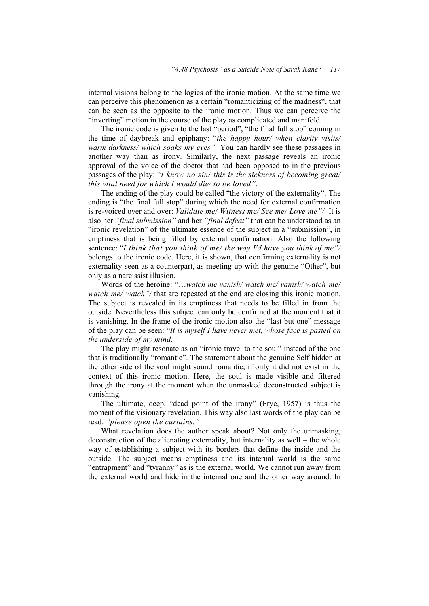internal visions belong to the logics of the ironic motion. At the same time we can perceive this phenomenon as a certain "romanticizing of the madness", that can be seen as the opposite to the ironic motion. Thus we can perceive the "inverting" motion in the course of the play as complicated and manifold.

 $\mathcal{L} = \{ \mathcal{L} \mathcal{L} \mathcal{L} \mathcal{L} \mathcal{L} \mathcal{L} \mathcal{L} \mathcal{L} \mathcal{L} \mathcal{L} \mathcal{L} \mathcal{L} \mathcal{L} \mathcal{L} \mathcal{L} \mathcal{L} \mathcal{L} \mathcal{L} \mathcal{L} \mathcal{L} \mathcal{L} \mathcal{L} \mathcal{L} \mathcal{L} \mathcal{L} \mathcal{L} \mathcal{L} \mathcal{L} \mathcal{L} \mathcal{L} \mathcal{L} \mathcal{L} \mathcal{L} \mathcal{L} \mathcal{L} \$ 

 The ironic code is given to the last "period", "the final full stop" coming in the time of daybreak and epiphany: "*the happy hour/ when clarity visits/ warm darkness/ which soaks my eyes".* You can hardly see these passages in another way than as irony. Similarly, the next passage reveals an ironic approval of the voice of the doctor that had been opposed to in the previous passages of the play: "*I know no sin/ this is the sickness of becoming great/ this vital need for which I would die/ to be loved".* 

 The ending of the play could be called "the victory of the externality". The ending is "the final full stop" during which the need for external confirmation is re-voiced over and over: *Validate me/ Witness me/ See me/ Love me"/.* It is also her *"final submission"* and her *"final defeat"* that can be understood as an "ironic revelation" of the ultimate essence of the subject in a "submission", in emptiness that is being filled by external confirmation. Also the following sentence: "*I think that you think of me/ the way I'd have you think of me"/*  belongs to the ironic code. Here, it is shown, that confirming externality is not externality seen as a counterpart, as meeting up with the genuine "Other", but only as a narcissist illusion.

 Words of the heroine: "…*watch me vanish/ watch me/ vanish/ watch me/ watch me/ watch"/* that are repeated at the end are closing this ironic motion. The subject is revealed in its emptiness that needs to be filled in from the outside. Nevertheless this subject can only be confirmed at the moment that it is vanishing. In the frame of the ironic motion also the "last but one" message of the play can be seen: "*It is myself I have never met, whose face is pasted on the underside of my mind."* 

 The play might resonate as an "ironic travel to the soul" instead of the one that is traditionally "romantic". The statement about the genuine Self hidden at the other side of the soul might sound romantic, if only it did not exist in the context of this ironic motion. Here, the soul is made visible and filtered through the irony at the moment when the unmasked deconstructed subject is vanishing.

 The ultimate, deep, "dead point of the irony" (Frye, 1957) is thus the moment of the visionary revelation. This way also last words of the play can be read: *"please open the curtains."* 

 What revelation does the author speak about? Not only the unmasking, deconstruction of the alienating externality, but internality as well – the whole way of establishing a subject with its borders that define the inside and the outside. The subject means emptiness and its internal world is the same "entrapment" and "tyranny" as is the external world. We cannot run away from the external world and hide in the internal one and the other way around. In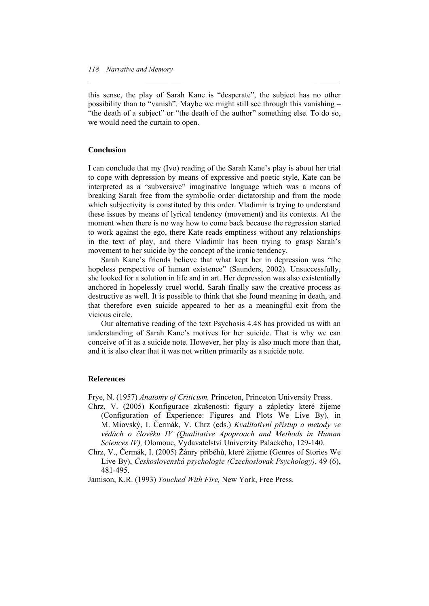this sense, the play of Sarah Kane is "desperate", the subject has no other possibility than to "vanish". Maybe we might still see through this vanishing – "the death of a subject" or "the death of the author" something else. To do so, we would need the curtain to open.

 $\mathcal{L} = \{ \mathcal{L} \mathcal{L} \mathcal{L} \mathcal{L} \mathcal{L} \mathcal{L} \mathcal{L} \mathcal{L} \mathcal{L} \mathcal{L} \mathcal{L} \mathcal{L} \mathcal{L} \mathcal{L} \mathcal{L} \mathcal{L} \mathcal{L} \mathcal{L} \mathcal{L} \mathcal{L} \mathcal{L} \mathcal{L} \mathcal{L} \mathcal{L} \mathcal{L} \mathcal{L} \mathcal{L} \mathcal{L} \mathcal{L} \mathcal{L} \mathcal{L} \mathcal{L} \mathcal{L} \mathcal{L} \mathcal{L} \$ 

## **Conclusion**

I can conclude that my (Ivo) reading of the Sarah Kane's play is about her trial to cope with depression by means of expressive and poetic style, Kate can be interpreted as a "subversive" imaginative language which was a means of breaking Sarah free from the symbolic order dictatorship and from the mode which subjectivity is constituted by this order. Vladimír is trying to understand these issues by means of lyrical tendency (movement) and its contexts. At the moment when there is no way how to come back because the regression started to work against the ego, there Kate reads emptiness without any relationships in the text of play, and there Vladimír has been trying to grasp Sarah's movement to her suicide by the concept of the ironic tendency.

 Sarah Kane's friends believe that what kept her in depression was "the hopeless perspective of human existence" (Saunders, 2002). Unsuccessfully, she looked for a solution in life and in art. Her depression was also existentially anchored in hopelessly cruel world. Sarah finally saw the creative process as destructive as well. It is possible to think that she found meaning in death, and that therefore even suicide appeared to her as a meaningful exit from the vicious circle.

 Our alternative reading of the text Psychosis 4.48 has provided us with an understanding of Sarah Kane's motives for her suicide. That is why we can conceive of it as a suicide note. However, her play is also much more than that, and it is also clear that it was not written primarily as a suicide note.

#### **References**

Frye, N. (1957) *Anatomy of Criticism,* Princeton, Princeton University Press.

- Chrz, V. (2005) Konfigurace zkušenosti: figury a zápletky které žijeme (Configuration of Experience: Figures and Plots We Live By), in M. Miovský, I. Čermák, V. Chrz (eds.) *Kvalitativní přístup a metody ve vědách o člověku IV (Qualitative Apoproach and Methods in Human Sciences IV),* Olomouc, Vydavatelství Univerzity Palackého, 129-140.
- Chrz, V., Čermák, I. (2005) Žánry příběhů, které žijeme (Genres of Stories We Live By), *Československá psychologie (Czechoslovak Psychology)*, 49 (6), 481-495.
- Jamison, K.R. (1993) *Touched With Fire,* New York, Free Press.